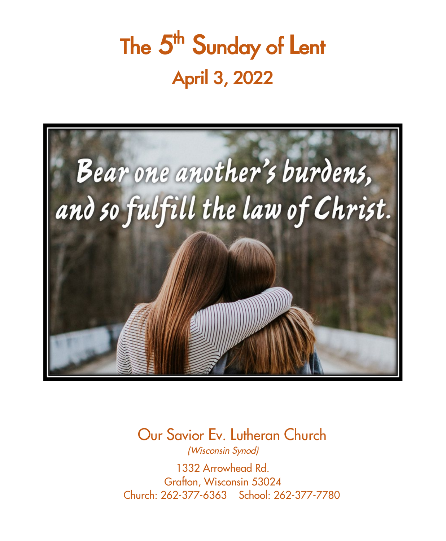# **The 5th Sunday of Lent April 3, 2022**



# Our Savior Ev. Lutheran Church *(Wisconsin Synod)*

1332 Arrowhead Rd. Grafton, Wisconsin 53024 Church: 262-377-6363 School: 262-377-7780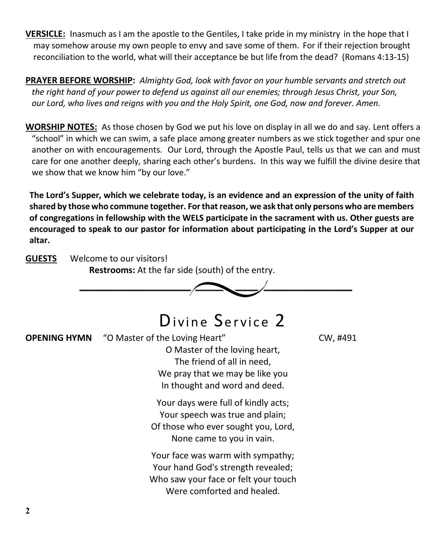**VERSICLE:** Inasmuch as I am the apostle to the Gentiles, I take pride in my ministry in the hope that I may somehow arouse my own people to envy and save some of them. For if their rejection brought reconciliation to the world, what will their acceptance be but life from the dead? (Romans 4:13-15)

**PRAYER BEFORE WORSHIP:** *Almighty God, look with favor on your humble servants and stretch out the right hand of your power to defend us against all our enemies; through Jesus Christ, your Son, our Lord, who lives and reigns with you and the Holy Spirit, one God, now and forever. Amen.*

**WORSHIP NOTES:** As those chosen by God we put his love on display in all we do and say. Lent offers a "school" in which we can swim, a safe place among greater numbers as we stick together and spur one another on with encouragements. Our Lord, through the Apostle Paul, tells us that we can and must care for one another deeply, sharing each other's burdens. In this way we fulfill the divine desire that we show that we know him "by our love."

**The Lord's Supper, which we celebrate today, is an evidence and an expression of the unity of faith shared by those who commune together. For that reason, we ask that only persons who are members of congregations in fellowship with the WELS participate in the sacrament with us. Other guests are encouraged to speak to our pastor for information about participating in the Lord's Supper at our altar.**

**GUESTS** Welcome to our visitors!

**Restrooms:** At the far side (south) of the entry.

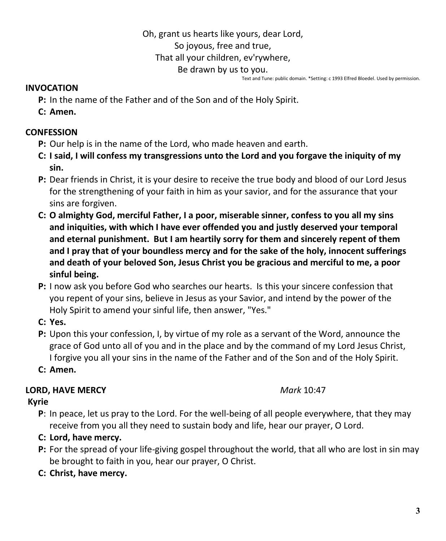Oh, grant us hearts like yours, dear Lord, So joyous, free and true, That all your children, ev'rywhere, Be drawn by us to you.

Text and Tune: public domain. \*Setting: c 1993 Elfred Bloedel. Used by permission.

#### **INVOCATION**

- **P:** In the name of the Father and of the Son and of the Holy Spirit.
- **C: Amen.**

#### **CONFESSION**

- **P:** Our help is in the name of the Lord, who made heaven and earth.
- **C: I said, I will confess my transgressions unto the Lord and you forgave the iniquity of my sin.**
- **P:** Dear friends in Christ, it is your desire to receive the true body and blood of our Lord Jesus for the strengthening of your faith in him as your savior, and for the assurance that your sins are forgiven.
- **C: O almighty God, merciful Father, I a poor, miserable sinner, confess to you all my sins and iniquities, with which I have ever offended you and justly deserved your temporal and eternal punishment. But I am heartily sorry for them and sincerely repent of them and I pray that of your boundless mercy and for the sake of the holy, innocent sufferings and death of your beloved Son, Jesus Christ you be gracious and merciful to me, a poor sinful being.**
- **P:** I now ask you before God who searches our hearts. Is this your sincere confession that you repent of your sins, believe in Jesus as your Savior, and intend by the power of the Holy Spirit to amend your sinful life, then answer, "Yes."
- **C: Yes.**
- **P:** Upon this your confession, I, by virtue of my role as a servant of the Word, announce the grace of God unto all of you and in the place and by the command of my Lord Jesus Christ, I forgive you all your sins in the name of the Father and of the Son and of the Holy Spirit.
- **C: Amen.**

### **LORD, HAVE MERCY** *Mark* 10:47

### **Kyrie**

**P**: In peace, let us pray to the Lord. For the well-being of all people everywhere, that they may receive from you all they need to sustain body and life, hear our prayer, O Lord.

### **C: Lord, have mercy.**

- **P:** For the spread of your life-giving gospel throughout the world, that all who are lost in sin may be brought to faith in you, hear our prayer, O Christ.
- **C: Christ, have mercy.**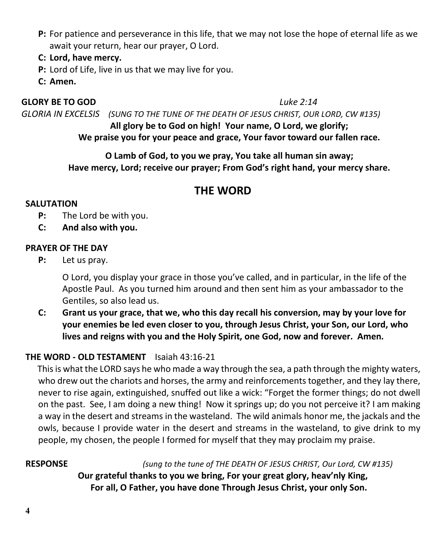**P:** For patience and perseverance in this life, that we may not lose the hope of eternal life as we await your return, hear our prayer, O Lord.

### **C: Lord, have mercy.**

**P:** Lord of Life, live in us that we may live for you.

**C: Amen.**

#### **GLORY BE TO GOD** *Luke 2:14*

*GLORIA IN EXCELSIS (SUNG TO THE TUNE OF THE DEATH OF JESUS CHRIST, OUR LORD, CW #135)*

**All glory be to God on high! Your name, O Lord, we glorify; We praise you for your peace and grace, Your favor toward our fallen race.**

**O Lamb of God, to you we pray, You take all human sin away; Have mercy, Lord; receive our prayer; From God's right hand, your mercy share.**

## **THE WORD**

#### **SALUTATION**

- **P:** The Lord be with you.
- **C: And also with you.**

#### **PRAYER OF THE DAY**

**P:** Let us pray.

O Lord, you display your grace in those you've called, and in particular, in the life of the Apostle Paul. As you turned him around and then sent him as your ambassador to the Gentiles, so also lead us.

**C: Grant us your grace, that we, who this day recall his conversion, may by your love for your enemies be led even closer to you, through Jesus Christ, your Son, our Lord, who lives and reigns with you and the Holy Spirit, one God, now and forever. Amen.**

### **THE WORD - OLD TESTAMENT** Isaiah 43:16-21

This is what the LORD says he who made a way through the sea, a path through the mighty waters, who drew out the chariots and horses, the army and reinforcements together, and they lay there, never to rise again, extinguished, snuffed out like a wick: "Forget the former things; do not dwell on the past. See, I am doing a new thing! Now it springs up; do you not perceive it? I am making a way in the desert and streams in the wasteland. The wild animals honor me, the jackals and the owls, because I provide water in the desert and streams in the wasteland, to give drink to my people, my chosen, the people I formed for myself that they may proclaim my praise.

**RESPONSE** *(sung to the tune of THE DEATH OF JESUS CHRIST, Our Lord, CW #135)* **Our grateful thanks to you we bring, For your great glory, heav'nly King, For all, O Father, you have done Through Jesus Christ, your only Son.**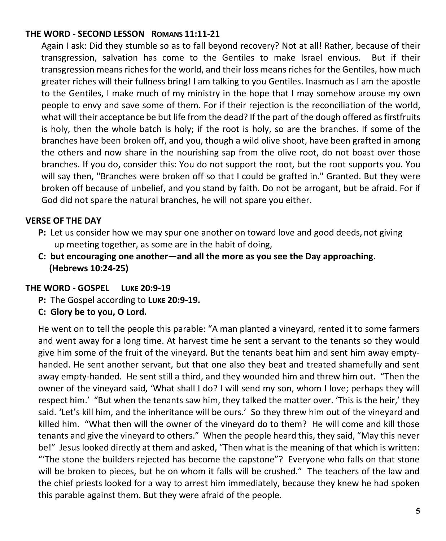#### **THE WORD - SECOND LESSON ROMANS 11:11-21**

Again I ask: Did they stumble so as to fall beyond recovery? Not at all! Rather, because of their transgression, salvation has come to the Gentiles to make Israel envious. But if their transgression means riches for the world, and their loss means riches for the Gentiles, how much greater riches will their fullness bring! I am talking to you Gentiles. Inasmuch as I am the apostle to the Gentiles, I make much of my ministry in the hope that I may somehow arouse my own people to envy and save some of them. For if their rejection is the reconciliation of the world, what will their acceptance be but life from the dead? If the part of the dough offered as firstfruits is holy, then the whole batch is holy; if the root is holy, so are the branches. If some of the branches have been broken off, and you, though a wild olive shoot, have been grafted in among the others and now share in the nourishing sap from the olive root, do not boast over those branches. If you do, consider this: You do not support the root, but the root supports you. You will say then, "Branches were broken off so that I could be grafted in." Granted. But they were broken off because of unbelief, and you stand by faith. Do not be arrogant, but be afraid. For if God did not spare the natural branches, he will not spare you either.

#### **VERSE OF THE DAY**

- **P:** Let us consider how we may spur one another on toward love and good deeds, not giving up meeting together, as some are in the habit of doing,
- **C: but encouraging one another—and all the more as you see the Day approaching. (Hebrews 10:24-25)**

### **THE WORD - GOSPEL LUKE 20:9-19**

- **P:** The Gospel according to **LUKE 20:9-19.**
- **C: Glory be to you, O Lord.**

He went on to tell the people this parable: "A man planted a vineyard, rented it to some farmers and went away for a long time. At harvest time he sent a servant to the tenants so they would give him some of the fruit of the vineyard. But the tenants beat him and sent him away emptyhanded. He sent another servant, but that one also they beat and treated shamefully and sent away empty-handed. He sent still a third, and they wounded him and threw him out. "Then the owner of the vineyard said, 'What shall I do? I will send my son, whom I love; perhaps they will respect him.' "But when the tenants saw him, they talked the matter over. 'This is the heir,' they said. 'Let's kill him, and the inheritance will be ours.' So they threw him out of the vineyard and killed him. "What then will the owner of the vineyard do to them? He will come and kill those tenants and give the vineyard to others." When the people heard this, they said, "May this never be!" Jesus looked directly at them and asked, "Then what is the meaning of that which is written: "'The stone the builders rejected has become the capstone"? Everyone who falls on that stone will be broken to pieces, but he on whom it falls will be crushed." The teachers of the law and the chief priests looked for a way to arrest him immediately, because they knew he had spoken this parable against them. But they were afraid of the people.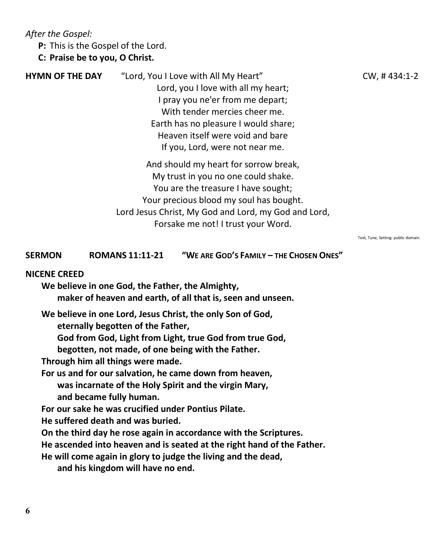*After the Gospel:*

**P:** This is the Gospel of the Lord.

**C: Praise be to you, O Christ.**

**HYMN OF THE DAY**"Lord, You I Love with All My Heart" CW, # 434:1-2 Lord, you I love with all my heart; I pray you ne'er from me depart; With tender mercies cheer me. Earth has no pleasure I would share; Heaven itself were void and bare If you, Lord, were not near me.

> And should my heart for sorrow break, My trust in you no one could shake. You are the treasure I have sought; Your precious blood my soul has bought. Lord Jesus Christ, My God and Lord, my God and Lord, Forsake me not! I trust your Word.

> > Text, Tune, Setting: public domain.

**SERMON****ROMANS 11:11-21 "WE ARE GOD'S FAMILY – THE CHOSEN ONES"**

#### **NICENE CREED**

**We believe in one God, the Father, the Almighty, maker of heaven and earth, of all that is, seen and unseen.**

**We believe in one Lord, Jesus Christ, the only Son of God,**

**eternally begotten of the Father,**

**God from God, Light from Light, true God from true God,**

**begotten, not made, of one being with the Father.**

**Through him all things were made.**

**For us and for our salvation, he came down from heaven,**

**was incarnate of the Holy Spirit and the virgin Mary, and became fully human.**

**For our sake he was crucified under Pontius Pilate.**

**He suffered death and was buried.**

**On the third day he rose again in accordance with the Scriptures.**

**He ascended into heaven and is seated at the right hand of the Father.**

**He will come again in glory to judge the living and the dead,**

**and his kingdom will have no end.**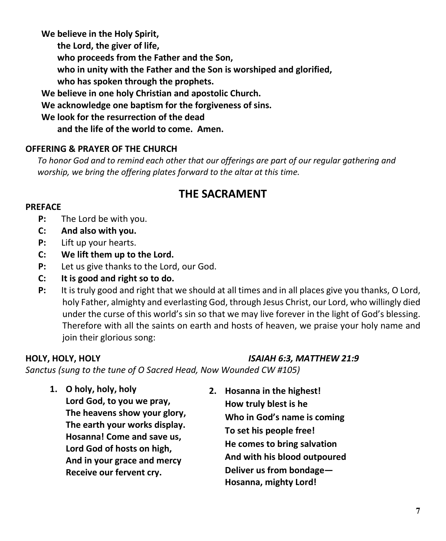**We believe in the Holy Spirit,**

**the Lord, the giver of life, who proceeds from the Father and the Son, who in unity with the Father and the Son is worshiped and glorified, who has spoken through the prophets. We believe in one holy Christian and apostolic Church. We acknowledge one baptism for the forgiveness of sins.** 

**We look for the resurrection of the dead** 

**and the life of the world to come. Amen.**

### **OFFERING & PRAYER OF THE CHURCH**

*To honor God and to remind each other that our offerings are part of our regular gathering and worship, we bring the offering plates forward to the altar at this time.*

# **THE SACRAMENT**

### **PREFACE**

- **P:** The Lord be with you.
- **C: And also with you.**
- **P:** Lift up your hearts.
- **C: We lift them up to the Lord.**
- **P:** Let us give thanks to the Lord, our God.
- **C: It is good and right so to do.**
- **P:** It is truly good and right that we should at all times and in all places give you thanks, O Lord, holy Father, almighty and everlasting God, through Jesus Christ, our Lord, who willingly died under the curse of this world's sin so that we may live forever in the light of God's blessing. Therefore with all the saints on earth and hosts of heaven, we praise your holy name and join their glorious song:

### **HOLY, HOLY, HOLY** *ISAIAH 6:3, MATTHEW 21:9*

*Sanctus (sung to the tune of O Sacred Head, Now Wounded CW #105)*

- **1. O holy, holy, holy Lord God, to you we pray, The heavens show your glory, The earth your works display. Hosanna! Come and save us, Lord God of hosts on high, And in your grace and mercy Receive our fervent cry.**
- **2. Hosanna in the highest! How truly blest is he Who in God's name is coming To set his people free! He comes to bring salvation And with his blood outpoured Deliver us from bondage— Hosanna, mighty Lord!**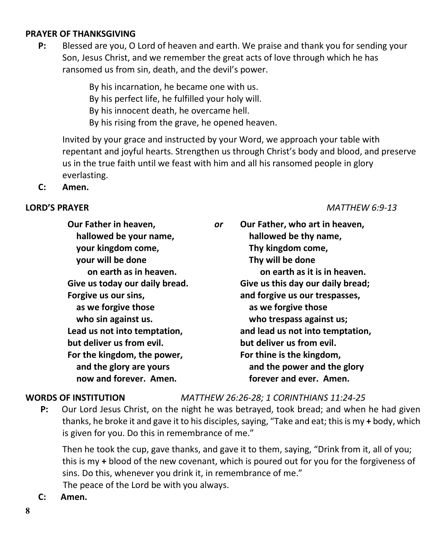#### **PRAYER OF THANKSGIVING**

**P:** Blessed are you, O Lord of heaven and earth. We praise and thank you for sending your Son, Jesus Christ, and we remember the great acts of love through which he has ransomed us from sin, death, and the devil's power.

> By his incarnation, he became one with us. By his perfect life, he fulfilled your holy will. By his innocent death, he overcame hell. By his rising from the grave, he opened heaven.

Invited by your grace and instructed by your Word, we approach your table with repentant and joyful hearts. Strengthen us through Christ's body and blood, and preserve us in the true faith until we feast with him and all his ransomed people in glory everlasting.

**C: Amen.** 

**Our Father in heaven, hallowed be your name, your kingdom come, your will be done on earth as in heaven. Give us today our daily bread. Forgive us our sins, as we forgive those who sin against us. Lead us not into temptation, but deliver us from evil. For the kingdom, the power, and the glory are yours now and forever. Amen.**

#### **LORD'S PRAYER** *MATTHEW 6:9-13*

*or* **Our Father, who art in heaven, hallowed be thy name, Thy kingdom come, Thy will be done on earth as it is in heaven. Give us this day our daily bread; and forgive us our trespasses, as we forgive those who trespass against us; and lead us not into temptation, but deliver us from evil. For thine is the kingdom, and the power and the glory forever and ever. Amen.**

**WORDS OF INSTITUTION** *MATTHEW 26:26-28; 1 CORINTHIANS 11:24-25*

**P:** Our Lord Jesus Christ, on the night he was betrayed, took bread; and when he had given thanks, he broke it and gave it to his disciples, saying, "Take and eat; this is my **+** body, which is given for you. Do this in remembrance of me."

Then he took the cup, gave thanks, and gave it to them, saying, "Drink from it, all of you; this is my **+** blood of the new covenant, which is poured out for you for the forgiveness of sins. Do this, whenever you drink it, in remembrance of me."

- The peace of the Lord be with you always.
- **C: Amen.**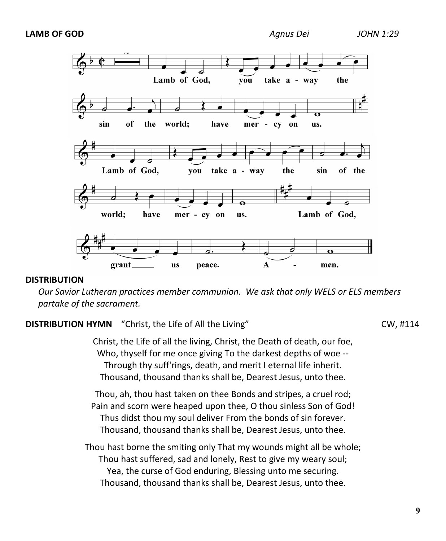

#### **DISTRIBUTION**

*Our Savior Lutheran practices member communion. We ask that only WELS or ELS members partake of the sacrament.* 

**DISTRIBUTION HYMN** "Christ, the Life of All the Living" CW, #114

Christ, the Life of all the living, Christ, the Death of death, our foe, Who, thyself for me once giving To the darkest depths of woe -- Through thy suff'rings, death, and merit I eternal life inherit. Thousand, thousand thanks shall be, Dearest Jesus, unto thee.

Thou, ah, thou hast taken on thee Bonds and stripes, a cruel rod; Pain and scorn were heaped upon thee, O thou sinless Son of God! Thus didst thou my soul deliver From the bonds of sin forever. Thousand, thousand thanks shall be, Dearest Jesus, unto thee.

Thou hast borne the smiting only That my wounds might all be whole; Thou hast suffered, sad and lonely, Rest to give my weary soul; Yea, the curse of God enduring, Blessing unto me securing. Thousand, thousand thanks shall be, Dearest Jesus, unto thee.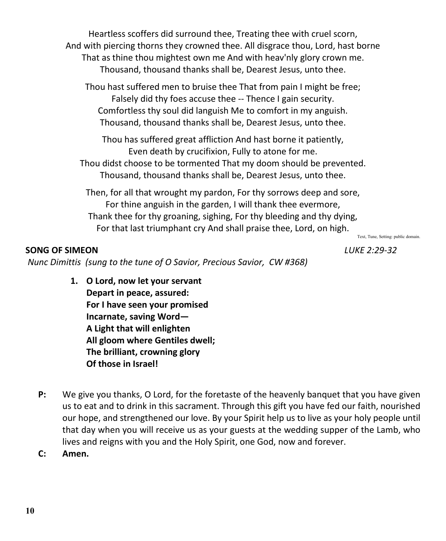Heartless scoffers did surround thee, Treating thee with cruel scorn, And with piercing thorns they crowned thee. All disgrace thou, Lord, hast borne That as thine thou mightest own me And with heav'nly glory crown me. Thousand, thousand thanks shall be, Dearest Jesus, unto thee.

Thou hast suffered men to bruise thee That from pain I might be free; Falsely did thy foes accuse thee -- Thence I gain security. Comfortless thy soul did languish Me to comfort in my anguish. Thousand, thousand thanks shall be, Dearest Jesus, unto thee.

Thou has suffered great affliction And hast borne it patiently, Even death by crucifixion, Fully to atone for me.

Thou didst choose to be tormented That my doom should be prevented. Thousand, thousand thanks shall be, Dearest Jesus, unto thee.

Then, for all that wrought my pardon, For thy sorrows deep and sore, For thine anguish in the garden, I will thank thee evermore, Thank thee for thy groaning, sighing, For thy bleeding and thy dying, For that last triumphant cry And shall praise thee, Lord, on high.

Text, Tune, Setting: public domain.

#### **SONG OF SIMEON** *LUKE 2:29-32*

*Nunc Dimittis (sung to the tune of O Savior, Precious Savior, CW #368)*

- **1. O Lord, now let your servant Depart in peace, assured: For I have seen your promised Incarnate, saving Word— A Light that will enlighten All gloom where Gentiles dwell; The brilliant, crowning glory Of those in Israel!**
- **P:** We give you thanks, O Lord, for the foretaste of the heavenly banquet that you have given us to eat and to drink in this sacrament. Through this gift you have fed our faith, nourished our hope, and strengthened our love. By your Spirit help us to live as your holy people until that day when you will receive us as your guests at the wedding supper of the Lamb, who lives and reigns with you and the Holy Spirit, one God, now and forever.
- **C: Amen.**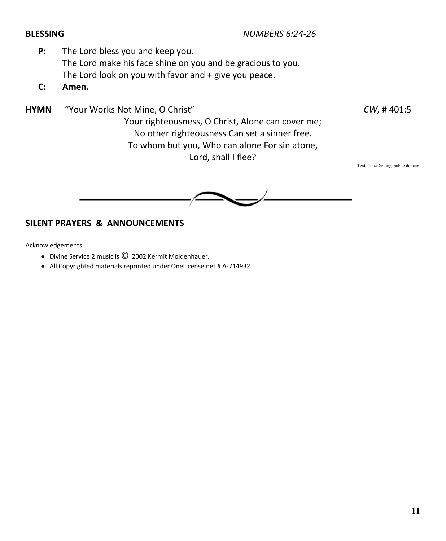**BLESSING** *NUMBERS 6:24-26*

- **P:** The Lord bless you and keep you. The Lord make his face shine on you and be gracious to you. The Lord look on you with favor and + give you peace.
- **C: Amen.**

**HYMN** "Your Works Not Mine, O Christ" *CW,* # 401:5 Your righteousness, O Christ, Alone can cover me; No other righteousness Can set a sinner free. To whom but you, Who can alone For sin atone, Lord, shall I flee?

Text, Tune, Setting: public domain.

#### **SILENT PRAYERS & ANNOUNCEMENTS**

Acknowledgements:

- Divine Service 2 music is © 2002 Kermit Moldenhauer.
- All Copyrighted materials reprinted under OneLicense.net # A-714932.